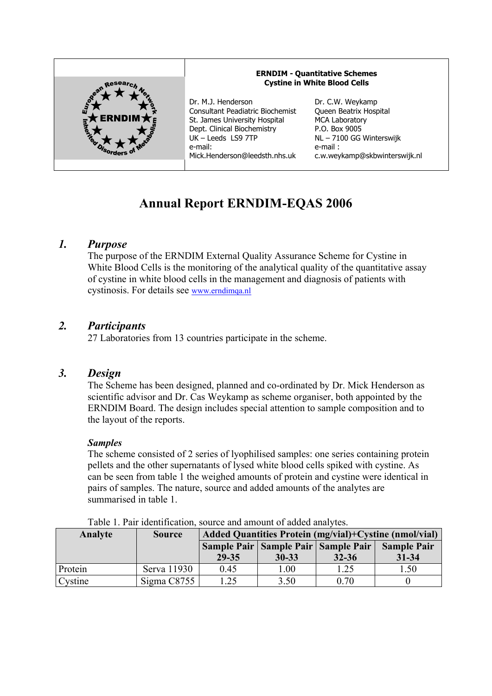

# **Annual Report ERNDIM-EQAS 2006**

## *1. Purpose*

The purpose of the ERNDIM External Quality Assurance Scheme for Cystine in White Blood Cells is the monitoring of the analytical quality of the quantitative assay of cystine in white blood cells in the management and diagnosis of patients with cystinosis. For details see www.erndimqa.nl

## *2. Participants*

27 Laboratories from 13 countries participate in the scheme.

### *3. Design*

The Scheme has been designed, planned and co-ordinated by Dr. Mick Henderson as scientific advisor and Dr. Cas Weykamp as scheme organiser, both appointed by the ERNDIM Board. The design includes special attention to sample composition and to the layout of the reports.

#### *Samples*

The scheme consisted of 2 series of lyophilised samples: one series containing protein pellets and the other supernatants of lysed white blood cells spiked with cystine. As can be seen from table 1 the weighed amounts of protein and cystine were identical in pairs of samples. The nature, source and added amounts of the analytes are summarised in table 1.

| Tuble 1. I all Rechtmeation, bource and amount of added and view. |               |                                                        |           |                                         |                    |
|-------------------------------------------------------------------|---------------|--------------------------------------------------------|-----------|-----------------------------------------|--------------------|
| Analyte                                                           | <b>Source</b> | Added Quantities Protein (mg/vial)+Cystine (nmol/vial) |           |                                         |                    |
|                                                                   |               |                                                        |           | Sample Pair   Sample Pair   Sample Pair | <b>Sample Pair</b> |
|                                                                   |               | 29-35                                                  | $30 - 33$ | $32 - 36$                               | $31 - 34$          |
| Protein                                                           | Serva 11930   | 0.45                                                   | 1.00      | 1.25                                    | 1.50               |
| Cystine                                                           | Sigma C8755   | 1.25                                                   | 3.50      | 0.70                                    |                    |

Table 1. Pair identification, source and amount of added analytes.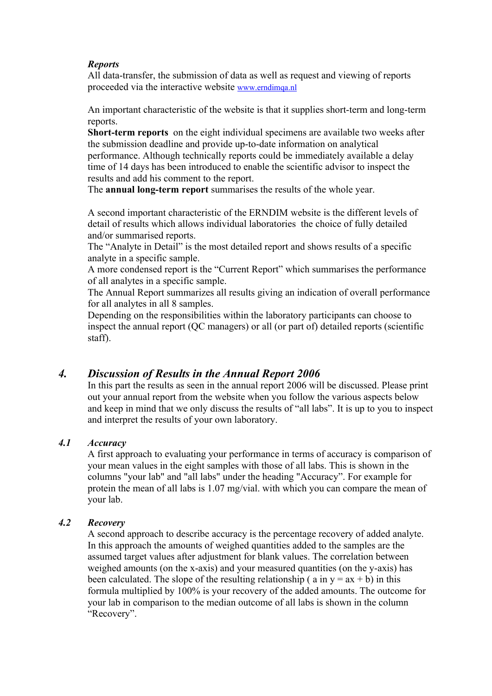### *Reports*

All data-transfer, the submission of data as well as request and viewing of reports proceeded via the interactive website www.erndimqa.nl

An important characteristic of the website is that it supplies short-term and long-term reports.

**Short-term reports** on the eight individual specimens are available two weeks after the submission deadline and provide up-to-date information on analytical performance. Although technically reports could be immediately available a delay time of 14 days has been introduced to enable the scientific advisor to inspect the results and add his comment to the report.

The **annual long-term report** summarises the results of the whole year.

A second important characteristic of the ERNDIM website is the different levels of detail of results which allows individual laboratories the choice of fully detailed and/or summarised reports.

The "Analyte in Detail" is the most detailed report and shows results of a specific analyte in a specific sample.

A more condensed report is the "Current Report" which summarises the performance of all analytes in a specific sample.

The Annual Report summarizes all results giving an indication of overall performance for all analytes in all 8 samples.

Depending on the responsibilities within the laboratory participants can choose to inspect the annual report (QC managers) or all (or part of) detailed reports (scientific staff).

# *4. Discussion of Results in the Annual Report 2006*

In this part the results as seen in the annual report 2006 will be discussed. Please print out your annual report from the website when you follow the various aspects below and keep in mind that we only discuss the results of "all labs". It is up to you to inspect and interpret the results of your own laboratory.

#### *4.1 Accuracy*

A first approach to evaluating your performance in terms of accuracy is comparison of your mean values in the eight samples with those of all labs. This is shown in the columns "your lab" and "all labs" under the heading "Accuracy". For example for protein the mean of all labs is 1.07 mg/vial. with which you can compare the mean of your lab.

#### *4.2 Recovery*

A second approach to describe accuracy is the percentage recovery of added analyte. In this approach the amounts of weighed quantities added to the samples are the assumed target values after adjustment for blank values. The correlation between weighed amounts (on the x-axis) and your measured quantities (on the y-axis) has been calculated. The slope of the resulting relationship ( $a$  in  $y = ax + b$ ) in this formula multiplied by 100% is your recovery of the added amounts. The outcome for your lab in comparison to the median outcome of all labs is shown in the column "Recovery".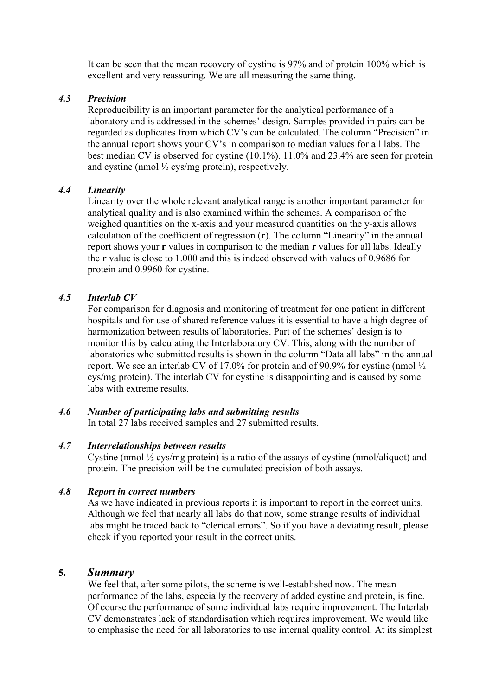It can be seen that the mean recovery of cystine is 97% and of protein 100% which is excellent and very reassuring. We are all measuring the same thing.

#### *4.3 Precision*

Reproducibility is an important parameter for the analytical performance of a laboratory and is addressed in the schemes' design. Samples provided in pairs can be regarded as duplicates from which CV's can be calculated. The column "Precision" in the annual report shows your CV's in comparison to median values for all labs. The best median CV is observed for cystine (10.1%). 11.0% and 23.4% are seen for protein and cystine (nmol  $\frac{1}{2}$  cys/mg protein), respectively.

#### *4.4 Linearity*

Linearity over the whole relevant analytical range is another important parameter for analytical quality and is also examined within the schemes. A comparison of the weighed quantities on the x-axis and your measured quantities on the y-axis allows calculation of the coefficient of regression (**r**). The column "Linearity" in the annual report shows your **r** values in comparison to the median **r** values for all labs. Ideally the **r** value is close to 1.000 and this is indeed observed with values of 0.9686 for protein and 0.9960 for cystine.

#### *4.5 Interlab CV*

For comparison for diagnosis and monitoring of treatment for one patient in different hospitals and for use of shared reference values it is essential to have a high degree of harmonization between results of laboratories. Part of the schemes' design is to monitor this by calculating the Interlaboratory CV. This, along with the number of laboratories who submitted results is shown in the column "Data all labs" in the annual report. We see an interlab CV of 17.0% for protein and of 90.9% for cystine (nmol ½ cys/mg protein). The interlab CV for cystine is disappointing and is caused by some labs with extreme results.

#### *4.6 Number of participating labs and submitting results*

In total 27 labs received samples and 27 submitted results.

#### *4.7 Interrelationships between results*

Cystine (nmol  $\frac{1}{2}$  cys/mg protein) is a ratio of the assays of cystine (nmol/aliquot) and protein. The precision will be the cumulated precision of both assays.

#### *4.8 Report in correct numbers*

As we have indicated in previous reports it is important to report in the correct units. Although we feel that nearly all labs do that now, some strange results of individual labs might be traced back to "clerical errors". So if you have a deviating result, please check if you reported your result in the correct units.

#### **5.** *Summary*

We feel that, after some pilots, the scheme is well-established now. The mean performance of the labs, especially the recovery of added cystine and protein, is fine. Of course the performance of some individual labs require improvement. The Interlab CV demonstrates lack of standardisation which requires improvement. We would like to emphasise the need for all laboratories to use internal quality control. At its simplest